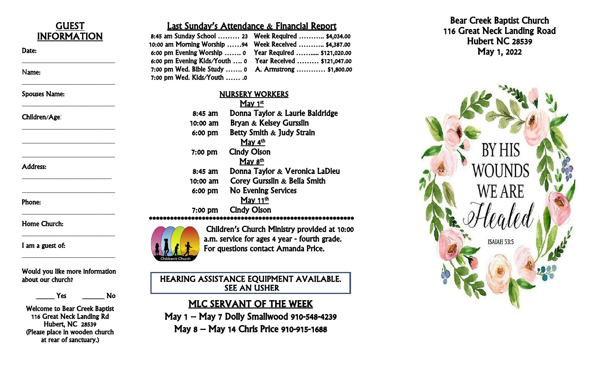

\_\_\_\_\_\_\_\_\_\_\_\_\_\_\_\_\_\_\_\_\_\_\_\_\_\_\_\_

\_\_\_\_\_\_\_\_\_\_\_\_\_\_\_\_\_\_\_\_\_\_\_\_\_\_\_\_

\_\_\_\_\_\_\_\_\_\_\_\_\_\_\_\_\_\_\_\_\_\_\_\_\_\_\_\_

\_\_\_\_\_\_\_\_\_\_\_\_\_\_\_\_\_\_\_\_\_\_\_\_\_\_\_\_

\_\_\_\_\_\_\_\_\_\_\_\_\_\_\_\_\_\_\_\_\_\_\_\_\_\_\_\_

\_\_\_\_\_\_\_\_\_\_\_\_\_\_\_\_\_\_\_\_\_\_\_\_\_\_\_

\_\_\_\_\_\_\_\_\_\_\_\_\_\_\_\_\_\_\_\_\_\_\_\_\_\_\_\_

\_\_\_\_\_\_\_\_\_\_\_\_\_\_\_\_\_\_\_\_\_\_\_\_\_\_\_\_

\_\_\_\_\_\_\_\_\_\_\_\_\_\_\_\_\_\_\_\_\_\_\_\_\_\_\_\_

\_\_\_\_\_\_\_\_\_\_\_\_\_\_\_\_\_\_\_\_\_\_\_\_\_\_\_\_

Spouses Name:

### Children/Age:

Address:

Phone:

Home Church:

I am a guest of:

Would you like more information about our church?

Yes No

Welcome to Bear Creek Baptist 116 Great Neck Landing Rd Hubert, NC 28539 (Please place in wooden church at rear of sanctuary.)

# Last Sunday's Attendance & Financial Report

| 8:45 am Sunday School  23    Week Required  \$4,034.00   |                                                           |
|----------------------------------------------------------|-----------------------------------------------------------|
| 10:00 am Morning Worship 94    Week Received  \$4,387.00 |                                                           |
|                                                          | 6:00 pm Evening Worship  0  Year Required  \$121,020.00   |
|                                                          | 6:00 pm Evening Kids/Youth  0 Year Received  \$121,047.00 |
|                                                          | 7:00 pm Wed. Bible Study  0 A. Armstrong  \$1,800.00      |
| 7:00 pm Wed. Kids/Youth  .0                              |                                                           |

### NURSERY WORKERS

|           | May $1st$                          |
|-----------|------------------------------------|
| $8:45$ am | Donna Taylor $\&$ Laurie Baldridge |
| 10:00 am  | <b>Bryan &amp; Kelsey Gursslin</b> |
| 6:00 pm   | Betty Smith & Judy Strain          |
|           | <u>May 4<sup>th</sup></u>          |
| $7:00$ pm | <b>Cindy Olson</b>                 |
|           | May 8 <sup>th</sup>                |
| $8:45$ am | Donna Taylor & Veronica LaDieu     |
| 10:00 am  | Corey Gursslin & Bella Smith       |
| $6:00$ pm | <b>No Evening Services</b>         |
|           | May $11th$                         |
| $7:00$ pm | <b>Cindy Olson</b>                 |
|           |                                    |



Children's Church Ministry provided at 10:00 a.m. service for ages 4 year - fourth grade. For questions contact Amanda Price.

HEARING ASSISTANCE EQUIPMENT AVAILABLE. SEE AN USHER

MLC SERVANT OF THE WEEK May 1 – May 7 Dolly Smallwood 910 -548 -4239 May 8 – May 14 Chris Price 910 -915 -1688

Bear Creek Baptist Church 116 Great Neck Landing Road Hubert NC 28539 May 1, 2022

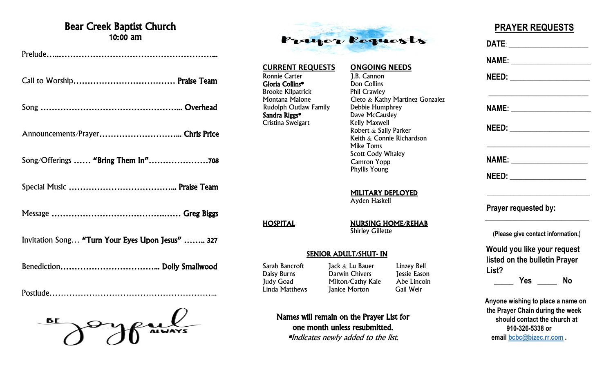# Bear Creek Baptist Church 10:00 am

| Invitation Song "Turn Your Eyes Upon Jesus"  327 |
|--------------------------------------------------|
|                                                  |

Postlude…………………………………………………...

**BE ALWAYS** 



# **CURRENT REQUESTS ONGOING NEEDS**

Ronnie Carter 1.B. Cannon<br> **Gloria Collins\*** 1.B. Don Collins Gloria Collins\* Brooke Kilpatrick **Phil Crawley** Rudolph Outlaw Family<br>Sandra Riggs\* Cristina Sweigart

Montana Malone Cleto & Kathy Martinez Gonzalez<br>
Rudolph Outlaw Family Debbie Humphrey Dave McCausley<br>Kelly Maxwell Robert & Sally Parker Keith & Connie Richardson Mike Toms Scott Cody Whaley Camron Yopp Phyllis Young

> MILITARY DEPLOYED Ayden Haskell

HOSPITAL NURSING HOME/REHAB **Shirley Gillette** 

### SENIOR ADULT/SHUT- IN

Linda Matthews **Janice Morton** 

Sarah Bancroft Jack & Lu Bauer Linzey Bell<br>
Daisy Burns Darwin Chivers Jessie Eason Darwin Chivers Judy Goad Milton/Cathy Kale Abe Lincoln<br>
Linda Matthews Ianice Morton Gail Weir

 **PRAYER REQUESTS DATE**: \_\_\_\_\_\_\_\_\_\_\_\_\_\_\_\_\_\_\_\_\_\_\_\_ **NAME:**  $\blacksquare$  **NEED:** \_\_\_\_\_\_\_\_\_\_\_\_\_\_\_\_\_\_\_\_\_\_\_\_  $\overline{\phantom{a}}$  , which is a set of the set of the set of the set of the set of the set of the set of the set of the set of the set of the set of the set of the set of the set of the set of the set of the set of the set of th  **NAME:** \_\_\_\_\_\_\_\_\_\_\_\_\_\_\_\_\_\_\_\_\_\_\_\_  **NEED:** \_\_\_\_\_\_\_\_\_\_\_\_\_\_\_\_\_\_\_\_\_\_\_\_ \_\_\_\_\_\_\_\_\_\_\_\_\_\_\_\_\_\_\_\_\_\_\_\_\_\_\_\_\_\_\_

> **NAME:** \_\_\_\_\_\_\_\_\_\_\_\_\_\_\_\_\_\_\_\_\_\_\_  **NEED:** \_\_\_\_\_\_\_\_\_\_\_\_\_\_\_\_\_\_\_\_\_\_\_

\_\_\_\_\_\_\_\_\_\_\_\_\_\_\_\_\_\_\_\_\_\_\_\_\_\_\_\_\_\_\_

 $\frac{1}{2}$  ,  $\frac{1}{2}$  ,  $\frac{1}{2}$  ,  $\frac{1}{2}$  ,  $\frac{1}{2}$  ,  $\frac{1}{2}$  ,  $\frac{1}{2}$  ,  $\frac{1}{2}$  ,  $\frac{1}{2}$  ,  $\frac{1}{2}$  ,  $\frac{1}{2}$  ,  $\frac{1}{2}$  ,  $\frac{1}{2}$  ,  $\frac{1}{2}$  ,  $\frac{1}{2}$  ,  $\frac{1}{2}$  ,  $\frac{1}{2}$  ,  $\frac{1}{2}$  ,  $\frac{1$ 

 **Prayer requested by:**

 **(Please give contact information.)**

 **Would you like your request listed on the bulletin Prayer List?**

 **\_\_\_\_\_ Yes \_\_\_\_\_ No**

 **Anyone wishing to place a name on the Prayer Chain during the week should contact the church at 910-326-5338 or email [bcbc@bizec.rr.com](mailto:bcbc@bizec.rr.com) .**

Names will remain on the Prayer List for one month unless resubmitted. \*Indicates newly added to the list.